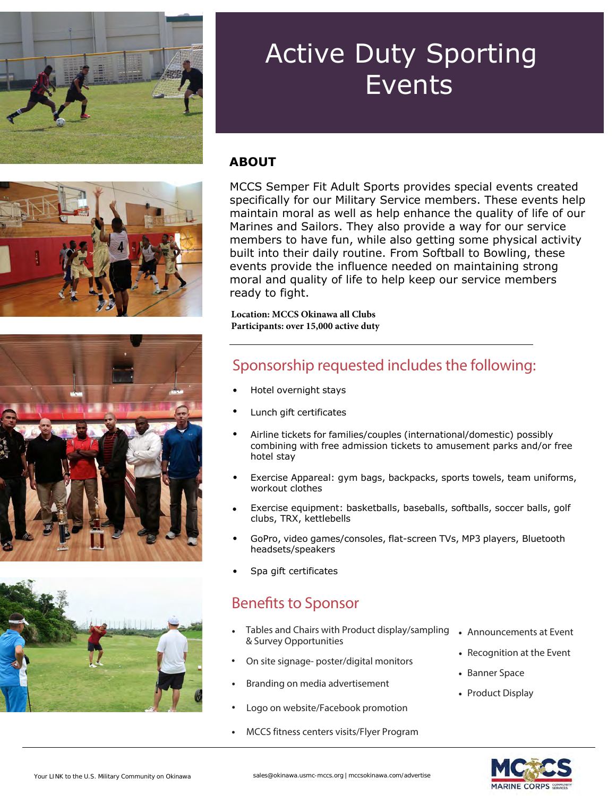







#### **ABOUT**

MCCS Semper Fit Adult Sports provides special events created specifically for our Military Service members. These events help maintain moral as well as help enhance the quality of life of our Marines and Sailors. They also provide a way for our service members to have fun, while also getting some physical activity built into their daily routine. From Softball to Bowling, these events provide the influence needed on maintaining strong moral and quality of life to help keep our service members ready to fight.

**Location: MCCS Okinawa all Clubs Participants: over 15,000 active duty** 

#### Sponsorship requested includes the following:

- Hotel overnight stays
- Lunch gift certificates
- Airline tickets for families/couples (international/domestic) possibly combining with free admission tickets to amusement parks and/or free hotel stay
- Exercise Appareal: gym bags, backpacks, sports towels, team uniforms, workout clothes
- Exercise equipment: basketballs, baseballs, softballs, soccer balls, golf clubs, TRX, kettlebells
- GoPro, video games/consoles, flat-screen TVs, MP3 players, Bluetooth headsets/speakers
- Spa gift certificates

#### Benefits to Sponsor

- Tables and Chairs with Product display/sampling & Survey Opportunities
- On site signage- poster/digital monitors
- Branding on media advertisement
- Logo on website/Facebook promotion
- MCCS fitness centers visits/Flyer Program
- Announcements at Event
- Recognition at the Event
- Banner Space
- Product Display

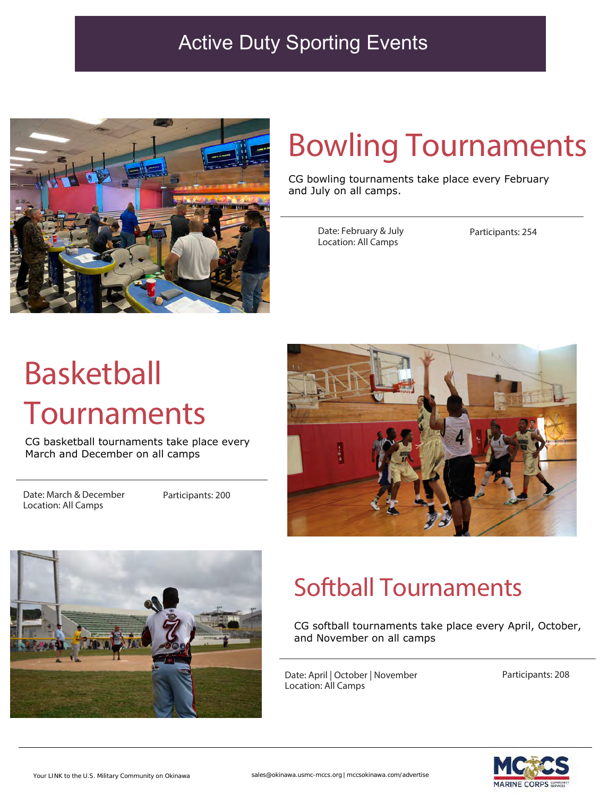

# Bowling Tournaments

CG bowling tournaments take place every February and July on all camps.

> Date: February & July Location: All Camps

Participants: 254

# Basketball Tournaments

CG basketball tournaments take place every March and December on all camps

Date: March & December Location: All Camps

Participants: 200





## Softball Tournaments

CG softball tournaments take place every April, October, and November on all camps

Date: April | October | November Location: All Camps

Participants: 208

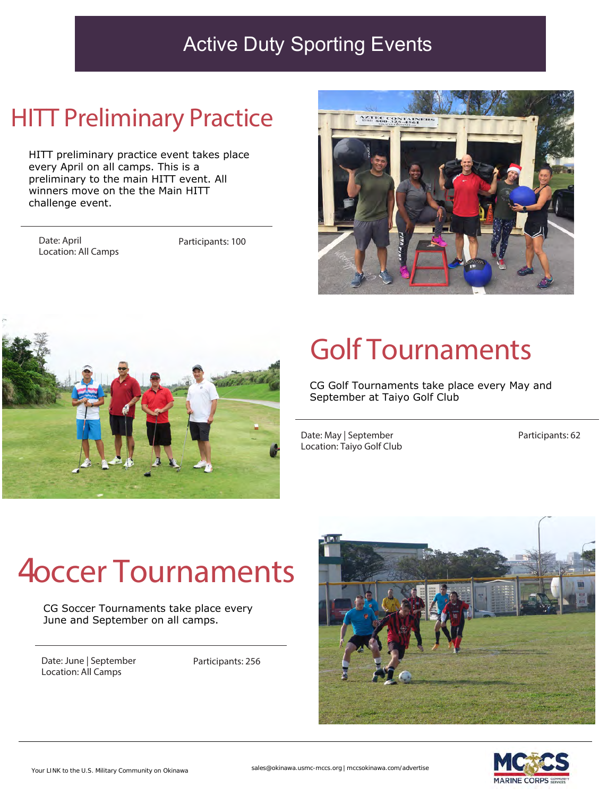### **HITT Preliminary Practice**

HITT preliminary practice event takes place every April on all camps. This is a preliminary to the main HITT event. All winners move on the the Main HITT challenge event.

Date: April Location: All Camps

Participants: 100





# Golf Tournaments

CG Golf Tournaments take place every May and September at Taiyo Golf Club

Date: May | September Location: Taiyo Golf Club Participants: 62

# **Eoccer Tournaments**

CG Soccer Tournaments take place every June and September on all camps.

Date: June | September Location: All Camps

Participants: 256